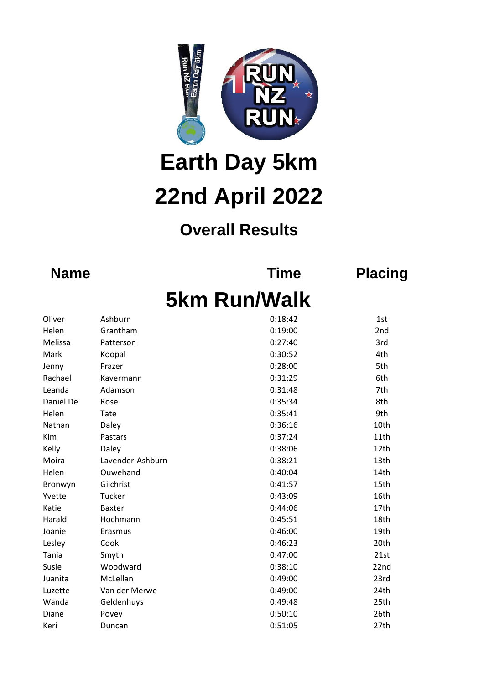

## **22nd April 2022 Earth Day 5km**

## **Overall Results**

**Name Time Placing**

## **5km Run/Walk**

| Oliver    | Ashburn          | 0:18:42 | 1st  |
|-----------|------------------|---------|------|
| Helen     | Grantham         | 0:19:00 | 2nd  |
| Melissa   | Patterson        | 0:27:40 | 3rd  |
| Mark      | Koopal           | 0:30:52 | 4th  |
| Jenny     | Frazer           | 0:28:00 | 5th  |
| Rachael   | Kavermann        | 0:31:29 | 6th  |
| Leanda    | Adamson          | 0:31:48 | 7th  |
| Daniel De | Rose             | 0:35:34 | 8th  |
| Helen     | <b>Tate</b>      | 0:35:41 | 9th  |
| Nathan    | Daley            | 0:36:16 | 10th |
| Kim       | Pastars          | 0:37:24 | 11th |
| Kelly     | Daley            | 0:38:06 | 12th |
| Moira     | Lavender-Ashburn | 0:38:21 | 13th |
| Helen     | Ouwehand         | 0:40:04 | 14th |
| Bronwyn   | Gilchrist        | 0:41:57 | 15th |
| Yvette    | Tucker           | 0:43:09 | 16th |
| Katie     | <b>Baxter</b>    | 0:44:06 | 17th |
| Harald    | Hochmann         | 0:45:51 | 18th |
| Joanie    | Erasmus          | 0:46:00 | 19th |
| Lesley    | Cook             | 0:46:23 | 20th |
| Tania     | Smyth            | 0:47:00 | 21st |
| Susie     | Woodward         | 0:38:10 | 22nd |
| Juanita   | McLellan         | 0:49:00 | 23rd |
| Luzette   | Van der Merwe    | 0:49:00 | 24th |
| Wanda     | Geldenhuys       | 0:49:48 | 25th |
| Diane     | Povey            | 0:50:10 | 26th |
| Keri      | Duncan           | 0:51:05 | 27th |
|           |                  |         |      |